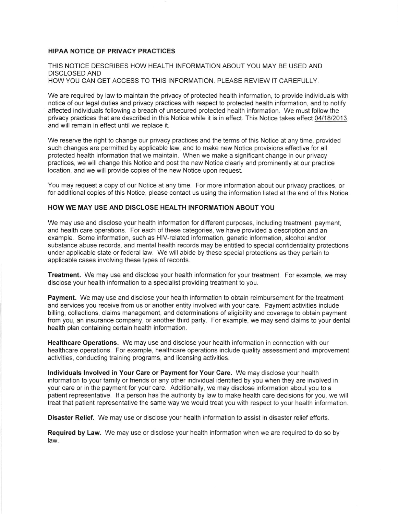## HIPAA NOTICE OF PRIVACY PRACTICES

THIS NOTICE DESCRIBES HOW HEALTH INFORMATION ABOUT YOU MAY BE USED AND DISCLOSED AND HOW YOU CAN GET ACCESS TO THIS INFORMATION, PLEASE REVIEW IT CAREFULLY,

We are required by law to maintain the privacy of protected health information, to provide individuals with notice of our legal duties and privacy practices with respect to protected health information, and to notify affected individuals following a breach of unsecured protected health information. We must follow the privacy practices that are described in this Notice while it is in effect. This Notice takes effect 04/18/2013, and will remain in effect until we replace it.

We reserve the right to change our privacy practices and the terms of this Notice at any time, provided such changes are permitted by applicable law, and to make new Notice provisions effective for all protected health information that we maintain. When we make a significant change in our privacy practices, we will change this Notice and post the new Notice clearly and prominently at our practice location, and we will provide copies of the new Notice upon request.

You may request a copy of our Notice at any time. For more information about our privacy practices, or for additional copies of this Notice, please contact us using the information listed at the end of this Notice.

## HOW WE MAY USE AND DISCLOSE HEALTH INFORMATION ABOUT YOU

We may use and disclose your health information for different purposes, including treatment, payment, and health care operations. For each of these categories, we have provided a description and an example. Some information, such as HIV-related information, genetic information, alcohol and/or substance abuse records, and mental health records may be entitled to special confidentiality protections under applicable state or federal law. We will abide by these special protections as they pertain to applicable cases involving these types of records.

**Treatment.** We may use and disclose your health information for your treatment. For example, we may disclose your health information to a specialist providing treatment to you.

Payment. We may use and disclose your health information to obtain reimbursement for the treatment and services you receive from us or another entity involved with your care. Payment activities include billing, collections, claims management, and determinations of eligibility and coverage to obtain payment from you, an insurance company, or another third party. For example, we may send claims to your dental health plan containing certain health information.

Healthcare Operations. We may use and disclose your health information in connection with our healthcare operations. For example, healthcare operations include quality assessment and improvement activities, conducting training programs, and licensing activities.

lndividuals lnvolved in Your Care or Payment for Your Care. We may disclose your health information to your family or friends or any other individual identified by you when they are involved in your care or in the payment for your care. Additionally, we may disclose information about you to a patient representative. If a person has the authority by law to make health care decisions for you, we will treat that patient representative the same way we would treat you with respect to your health information.

Disaster Relief. We may use or disclose your health information to assist in disaster relief efforts.

Required by Law. We may use or disclose your health information when we are required to do so by law